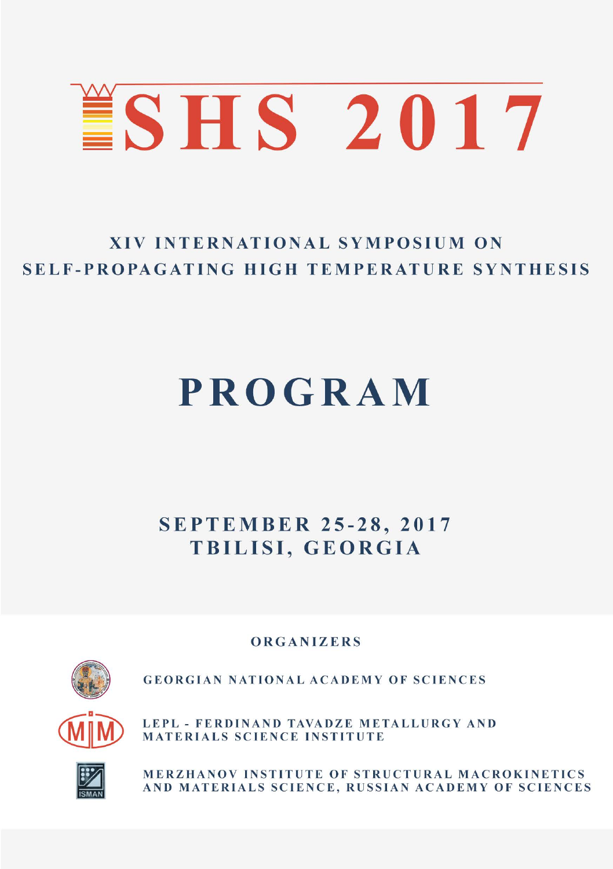

# **XIV INTERNATIONAL SYMPOSIUM ON** SELF-PROPAGATING HIGH TEMPERATURE SYNTHESIS

# **PROGRAM**

**SEPTEMBER 25-28, 2017** TBILISI. GEORGIA

ORGANIZERS



**GEORGIAN NATIONAL ACADEMY OF SCIENCES** 





MERZHANOV INSTITUTE OF STRUCTURAL MACROKINETICS AND MATERIALS SCIENCE, RUSSIAN ACADEMY OF SCIENCES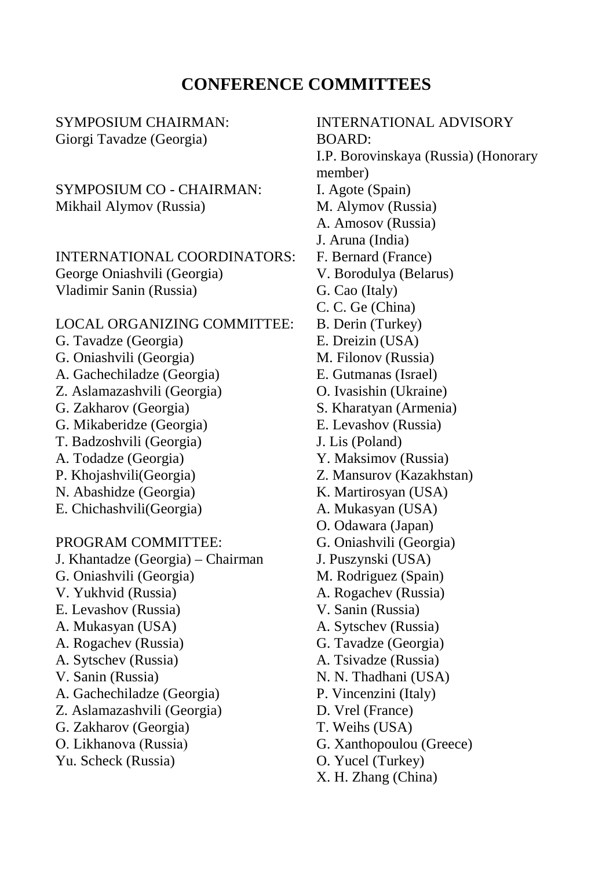#### **CONFERENCE COMMITTEES**

SYMPOSIUM CHAIRMAN: Giorgi Tavadze (Georgia)

SYMPOSIUM CO - CHAIRMAN: Mikhail Alymov (Russia)

INTERNATIONAL COORDINATORS: George Oniashvili (Georgia) Vladimir Sanin (Russia)

#### LOCAL ORGANIZING COMMITTEE:

- G. Tavadze (Georgia)
- G. Oniashvili (Georgia)
- A. Gachechiladze (Georgia)
- Z. Aslamazashvili (Georgia)
- G. Zakharov (Georgia)
- G. Mikaberidze (Georgia)
- T. Badzoshvili (Georgia)
- A. Todadze (Georgia)
- P. Khojashvili(Georgia)
- N. Abashidze (Georgia)
- E. Chichashvili(Georgia)

PROGRAM COMMITTEE:

- J. Khantadze (Georgia) Chairman
- G. Oniashvili (Georgia)
- V. Yukhvid (Russia)
- E. Levashov (Russia)
- A. Mukasyan (USA)
- A. Rogachev (Russia)
- A. Sytschev (Russia)
- V. Sanin (Russia)
- A. Gachechiladze (Georgia)
- Z. Aslamazashvili (Georgia)
- G. Zakharov (Georgia)
- О. Likhanova (Russia)
- Yu. Scheck (Russia)

INTERNATIONAL ADVISORY BOARD: I.P. Borovinskaya (Russia) (Honorary member) I. Agote (Spain) M. Alymov (Russia) A. Amosov (Russia) J. Aruna (India) F. Bernard (France) V. Borodulya (Belarus) G. Cao (Italy) C. C. Ge (China) B. Derin (Turkey) E. Dreizin (USA) M. Filonov (Russia) E. Gutmanas (Israel) O. Ivasishin (Ukraine) S. Kharatyan (Armenia) E. Levashov (Russia) J. Lis (Poland) Y. Maksimov (Russia) Z. Mansurov (Kazakhstan) K. Martirosyan (USA) A. Mukasyan (USA) O. Odawara (Japan) G. Oniashvili (Georgia) J. Puszynski (USA) M. Rodriguez (Spain) A. Rogachev (Russia) V. Sanin (Russia) A. Sytschev (Russia) G. Tavadze (Georgia) A. Tsivadze (Russia) N. N. Thadhani (USA) P. Vincenzini (Italy) D. Vrel (France) T. Weihs (USA) G. Xanthopoulou (Greece) O. Yucel (Turkey)

X. H. Zhang (China)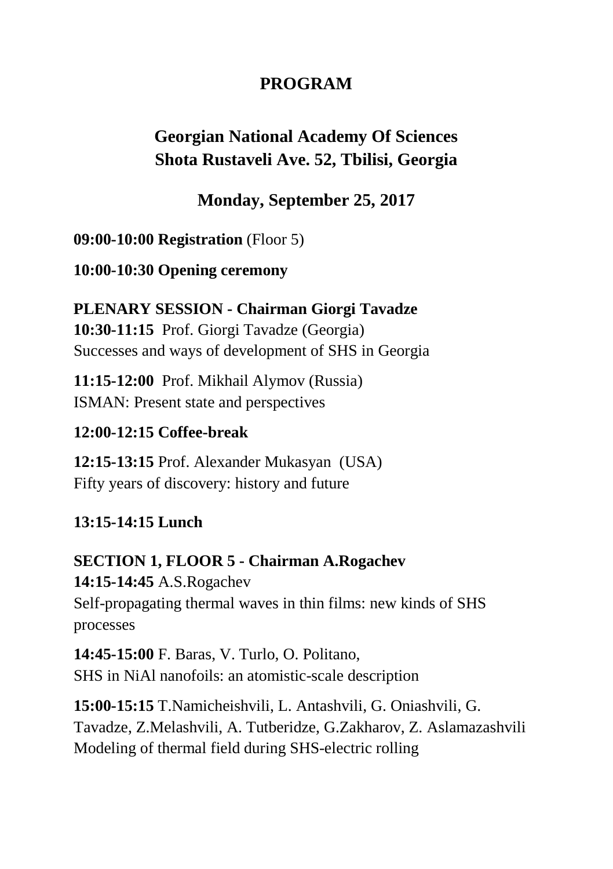## **PROGRAM**

## **Georgian National Academy Of Sciences Shota Rustaveli Ave. 52, Tbilisi, Georgia**

## **Monday, September 25, 2017**

**09:00-10:00 Registration** (Floor 5)

**10:00-10:30 Opening ceremony**

**PLENARY SESSION - Chairman Giorgi Tavadze 10:30-11:15** Prof. Giorgi Tavadze (Georgia) Successes and ways of development of SHS in Georgia

**11:15-12:00** Prof. Mikhail Alymov (Russia) ISMAN: Present state and perspectives

#### **12:00-12:15 Coffee-break**

**12:15-13:15** Prof. Alexander Mukasyan (USA) Fifty years of discovery: history and future

## **13:15-14:15 Lunch**

**SECTION 1, FLOOR 5 - Chairman A.Rogachev 14:15-14:45** A.S.Rogachev Self-propagating thermal waves in thin films: new kinds of SHS processes

**14:45-15:00** F. Baras, V. Turlo, O. Politano, SHS in NiAl nanofoils: an atomistic-scale description

**15:00-15:15** T.Namicheishvili, L. Antashvili, G. Oniashvili, G. Tavadze, Z.Melashvili, A. Tutberidze, G.Zakharov, Z. Aslamazashvili Modeling of thermal field during SHS-electric rolling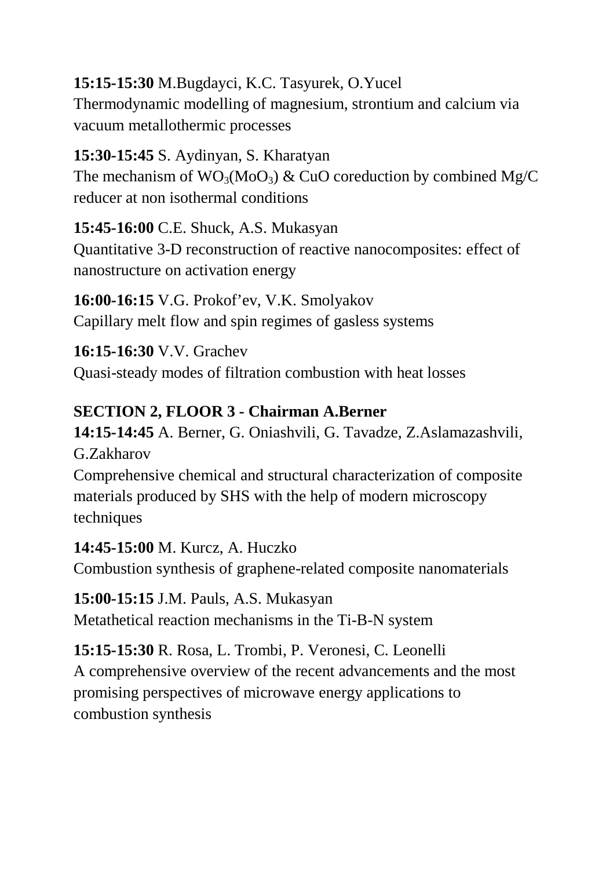## **15:15-15:30** M.Bugdayci, K.C. Tasyurek, O.Yucel

Thermodynamic modelling of magnesium, strontium and calcium via vacuum metallothermic processes

## **15:30-15:45** S. Aydinyan, S. Kharatyan The mechanism of  $WO_3(M_0O_3)$  & CuO coreduction by combined Mg/C reducer at non isothermal conditions

**15:45-16:00** C.E. Shuck, A.S. Mukasyan Quantitative 3-D reconstruction of reactive nanocomposites: effect of nanostructure on activation energy

**16:00-16:15** V.G. Prokof'ev, V.K. Smolyakov Capillary melt flow and spin regimes of gasless systems

**16:15-16:30** V.V. Grachev Quasi-steady modes of filtration combustion with heat losses

## **SECTION 2, FLOOR 3 - Chairman A.Berner**

**14:15-14:45** A. Berner, G. Oniashvili, G. Tavadze, Z.Aslamazashvili, G.Zakharov

Comprehensive chemical and structural characterization of composite materials produced by SHS with the help of modern microscopy techniques

#### **14:45-15:00** M. Kurcz, A. Huczko

Combustion synthesis of graphene-related composite nanomaterials

**15:00-15:15** J.M. Pauls, A.S. Mukasyan Metathetical reaction mechanisms in the Ti-B-N system

**15:15-15:30** R. Rosa, L. Trombi, P. Veronesi, C. Leonelli A comprehensive overview of the recent advancements and the most promising perspectives of microwave energy applications to combustion synthesis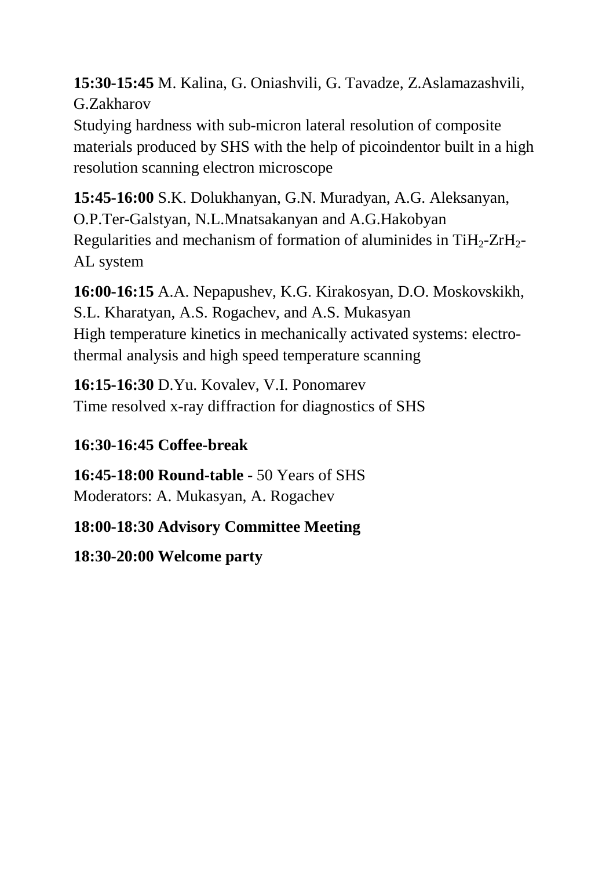**15:30-15:45** M. Kalina, G. Oniashvili, G. Tavadze, Z.Aslamazashvili, G.Zakharov

Studying hardness with sub-micron lateral resolution of composite materials produced by SHS with the help of picoindentor built in a high resolution scanning electron microscope

**15:45-16:00** S.K. Dolukhanyan, G.N. Muradyan, A.G. Aleksanyan, O.P.Ter-Galstyan, N.L.Mnatsakanyan and A.G.Hakobyan Regularities and mechanism of formation of aluminides in  $TiH<sub>2</sub>-ZrH<sub>2</sub>-$ AL system

**16:00-16:15** A.A. Nepapushev, K.G. Kirakosyan, D.O. Moskovskikh, S.L. Kharatyan, A.S. Rogachev, and A.S. Mukasyan High temperature kinetics in mechanically activated systems: electrothermal analysis and high speed temperature scanning

**16:15-16:30** D.Yu. Kovalev, V.I. Ponomarev Time resolved x-ray diffraction for diagnostics of SHS

## **16:30-16:45 Coffee-break**

**16:45-18:00 Round-table** - 50 Years of SHS Moderators: A. Mukasyan, A. Rogachev

**18:00-18:30 Advisory Committee Meeting**

**18:30-20:00 Welcome party**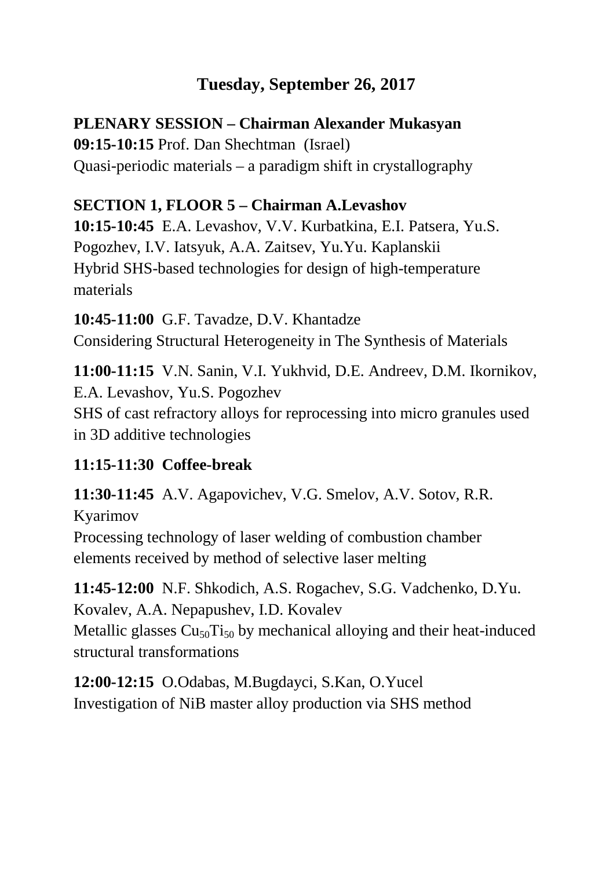## **Tuesday, September 26, 2017**

## **PLENARY SESSION – Chairman Alexander Mukasyan**

**09:15-10:15** Prof. Dan Shechtman (Israel) Quasi-periodic materials – a paradigm shift in crystallography

## **SECTION 1, FLOOR 5 – Chairman A.Levashov**

**10:15-10:45** E.A. Levashov, V.V. Kurbatkina, E.I. Patsera, Yu.S. Pogozhev, I.V. Iatsyuk, A.A. Zaitsev, Yu.Yu. Kaplanskii Hybrid SHS-based technologies for design of high-temperature materials

**10:45-11:00** G.F. Tavadze, D.V. Khantadze Considering Structural Heterogeneity in The Synthesis of Materials

**11:00-11:15** V.N. Sanin, V.I. Yukhvid, D.E. Andreev, D.M. Ikornikov, E.A. Levashov, Yu.S. Pogozhev SHS of cast refractory alloys for reprocessing into micro granules used in 3D additive technologies

## **11:15-11:30 Coffee-break**

**11:30-11:45** A.V. Agapovichev, V.G. Smelov, A.V. Sotov, R.R. Kyarimov Processing technology of laser welding of combustion chamber elements received by method of selective laser melting

**11:45-12:00** N.F. Shkodich, A.S. Rogachev, S.G. Vadchenko, D.Yu. Kovalev, A.A. Nepapushev, I.D. Kovalev Metallic glasses  $Cu_{50}Ti_{50}$  by mechanical alloying and their heat-induced structural transformations

**12:00-12:15** O.Odabas, M.Bugdayci, S.Kan, O.Yucel Investigation of NiB master alloy production via SHS method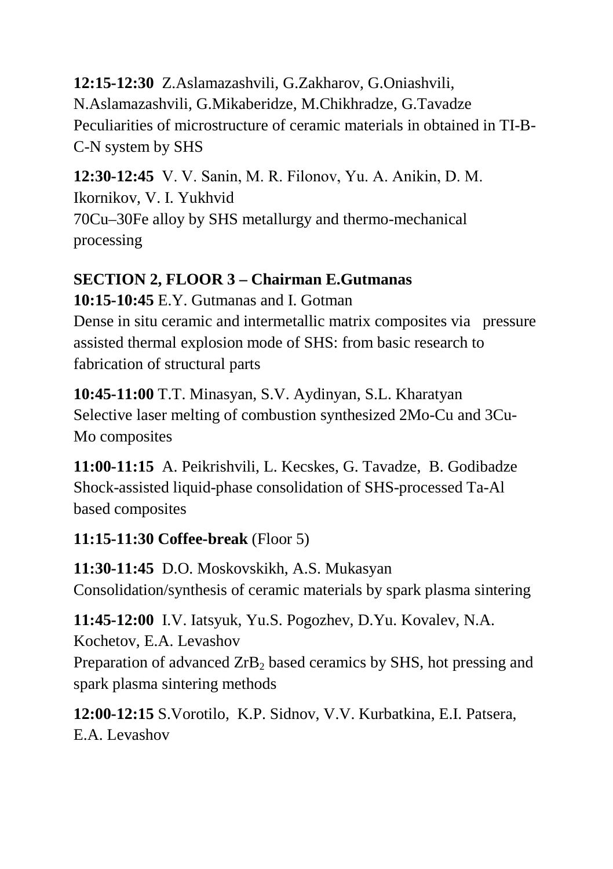**12:15-12:30** Z.Aslamazashvili, G.Zakharov, G.Oniashvili, N.Aslamazashvili, G.Mikaberidze, M.Chikhradze, G.Tavadze Peculiarities of microstructure of ceramic materials in obtained in TI-B-C-N system by SHS

**12:30-12:45** V. V. Sanin, M. R. Filonov, Yu. A. Аnikin, D. M. Ikornikov, V. I. Yukhvid 70Cu–30Fe alloy by SHS metallurgy and thermo-mechanical processing

## **SECTION 2, FLOOR 3 – Chairman E.Gutmanas**

**10:15-10:45** E.Y. Gutmanas and I. Gotman

Dense in situ ceramic and intermetallic matrix composites via pressure assisted thermal explosion mode of SHS: from basic research to fabrication of structural parts

**10:45-11:00** T.T. Minasyan, S.V. Aydinyan, S.L. Kharatyan Selective laser melting of combustion synthesized 2Mo-Cu and 3Cu-Mo composites

**11:00-11:15** A. Peikrishvili, L. Kecskes, G. Tavadze, B. Godibadze Shock-assisted liquid-phase consolidation of SHS-processed Ta-Al based composites

## **11:15-11:30 Coffee-break** (Floor 5)

**11:30-11:45** D.O. Moskovskikh, A.S. Mukasyan Consolidation/synthesis of ceramic materials by spark plasma sintering

**11:45-12:00** I.V. Iatsyuk, Yu.S. Pogozhev, D.Yu. Kovalev, N.A. Kochetov, E.A. Levashov Preparation of advanced ZrB<sub>2</sub> based ceramics by SHS, hot pressing and spark plasma sintering methods

**12:00-12:15** S.Vorotilo, K.P. Sidnov, V.V. Kurbatkina, E.I. Patsera, E.A. Levashov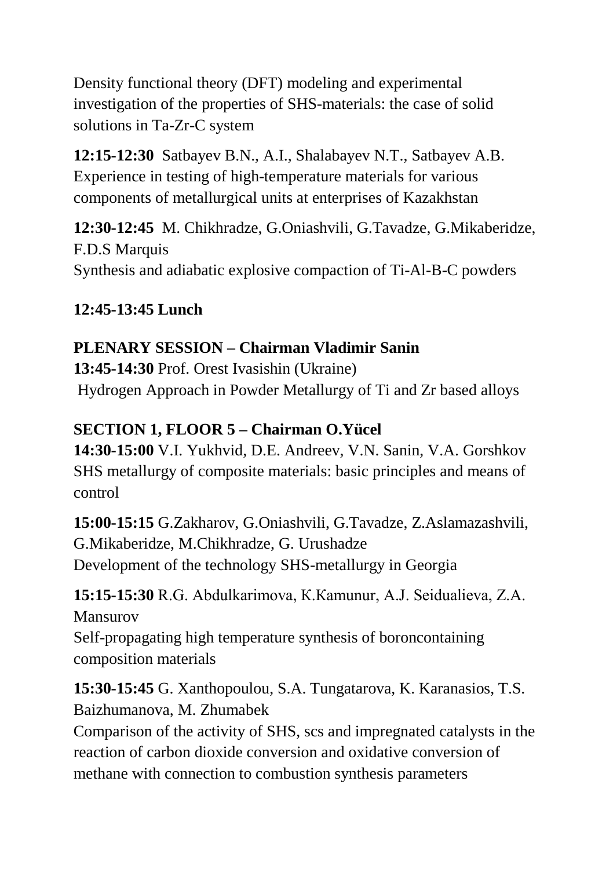Density functional theory (DFT) modeling and experimental investigation of the properties of SHS-materials: the case of solid solutions in Ta-Zr-C system

**12:15-12:30** Satbayev B.N., A.I., Shalabayev N.T., Satbayev A.B. Experience in testing of high-temperature materials for various components of metallurgical units at enterprises of Kazakhstan

**12:30-12:45** M. Chikhradze, G.Oniashvili, G.Tavadze, G.Mikaberidze, F.D.S Marquis Synthesis and adiabatic explosive compaction of Ti-Al-B-C powders

## **12:45-13:45 Lunch**

## **PLENARY SESSION – Chairman Vladimir Sanin**

**13:45-14:30** Prof. Orest Ivasishin (Ukraine) Hydrogen Approach in Powder Metallurgy of Ti and Zr based alloys

## **SECTION 1, FLOOR 5 – Chairman O.Yücel**

**14:30-15:00** V.I. Yukhvid, D.E. Andreev, V.N. Sanin, V.A. Gorshkov SHS metallurgy of composite materials: basic principles and means of control

**15:00-15:15** G.Zakharov, G.Oniashvili, G.Tavadze, Z.Aslamazashvili, G.Mikaberidze, M.Chikhradze, G. Urushadze Development of the technology SHS-metallurgy in Georgia

**15:15-15:30** R.G. Abdulkarimova, К.Каmunur, A.J. Seidualieva, Z.A. Mansurov Self-propagating high temperature synthesis of boroncontaining composition materials

**15:30-15:45** G. Xanthopoulou, S.A. Tungatarova, K. Karanasios, T.S. Baizhumanova, M. Zhumabek

Comparison of the activity of SHS, scs and impregnated catalysts in the reaction of carbon dioxide conversion and oxidative conversion of methane with connection to combustion synthesis parameters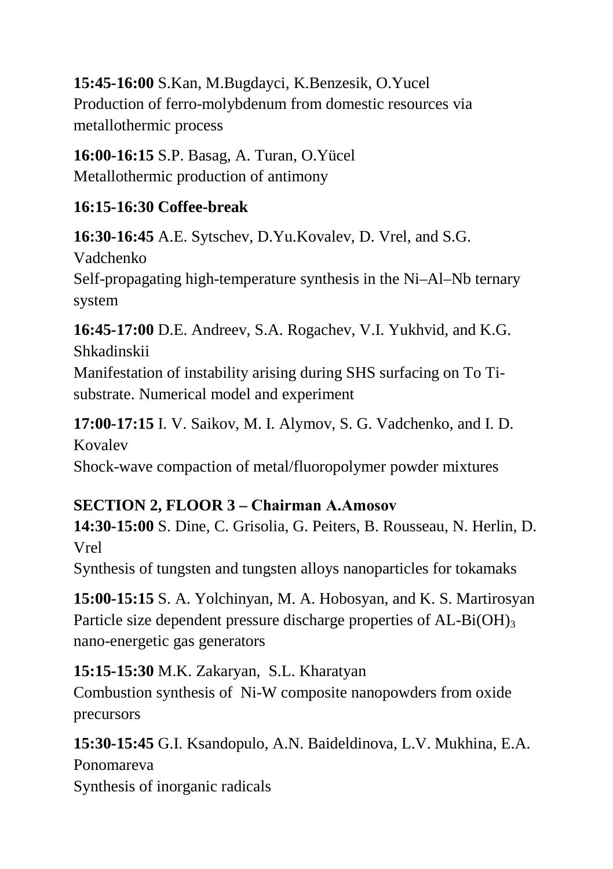**15:45-16:00** S.Kan, M.Bugdayci, K.Benzesik, O.Yucel Production of ferro-molybdenum from domestic resources via metallothermic process

**16:00-16:15** S.P. Basag, A. Turan, O.Yücel Metallothermic production of antimony

#### **16:15-16:30 Coffee-break**

**16:30-16:45** A.E. Sytschev, D.Yu.Kovalev, D. Vrel, and S.G.

Vadchenko

Self-propagating high-temperature synthesis in the Ni–Al–Nb ternary system

**16:45-17:00** D.E. Andreev, S.A. Rogachev, V.I. Yukhvid, and K.G. Shkadinskii

Manifestation of instability arising during SHS surfacing on To Tisubstrate. Numerical model and experiment

**17:00-17:15** I. V. Saikov, M. I. Alymov, S. G. Vadchenko, and I. D. Kovalev

Shock-wave compaction of metal/fluoropolymer powder mixtures

## **SECTION 2, FLOOR 3 – Chairman А.Amosov**

**14:30-15:00** S. Dine, C. Grisolia, G. Peiters, B. Rousseau, N. Herlin, D. Vrel

Synthesis of tungsten and tungsten alloys nanoparticles for tokamaks

**15:00-15:15** S. A. Yolchinyan, M. A. Hobosyan, and K. S. Martirosyan Particle size dependent pressure discharge properties of  $AL-Bi(OH)_{3}$ nano-energetic gas generators

## **15:15-15:30** M.K. Zakaryan, S.L. Kharatyan

Combustion synthesis of Ni-W composite nanopowders from oxide precursors

## **15:30-15:45** G.I. Ksandopulo, A.N. Baideldinova, L.V. Mukhina, E.A.

Ponomareva Synthesis of inorganic radicals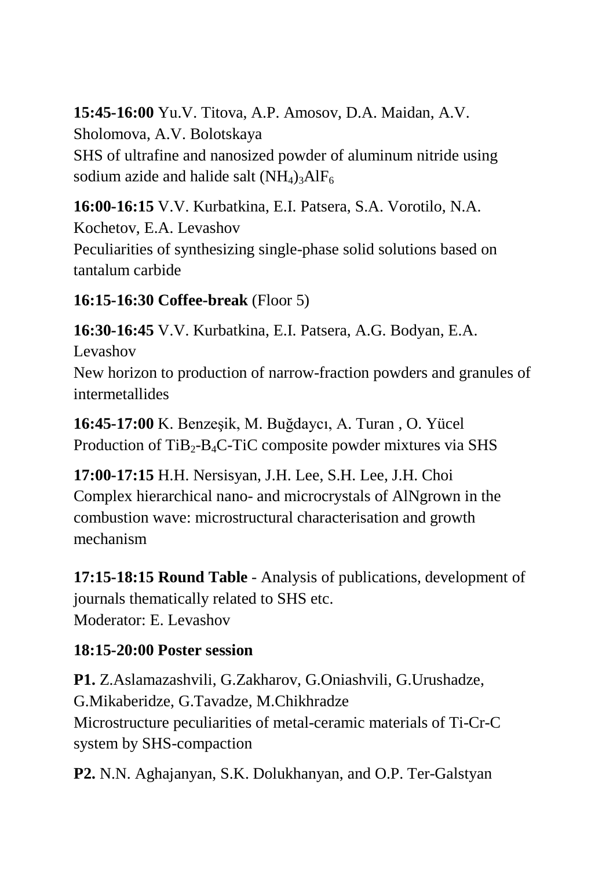**15:45-16:00** Yu.V. Titova, A.P. Amosov, D.A. Maidan, A.V. Sholomova, A.V. Bolotskaya SHS of ultrafine and nanosized powder of aluminum nitride using sodium azide and halide salt  $(NH_4)$ <sub>3</sub>AlF<sub>6</sub>

**16:00-16:15** V.V. Kurbatkina, E.I. Patsera, S.A. Vorotilo, N.A. Kochetov, E.A. Levashov Peculiarities of synthesizing single-phase solid solutions based on tantalum carbide

**16:15-16:30 Coffee-break** (Floor 5)

**16:30-16:45** V.V. Kurbatkina, E.I. Patsera, A.G. Bodyan, E.A. Levashov

New horizon to production of narrow-fraction powders and granules of intermetallides

**16:45-17:00** K. Benzeşik, M. Buğdaycı, A. Turan , O. Yücel Production of  $TiB_2-B_4C-TiC$  composite powder mixtures via SHS

**17:00-17:15** H.H. Nersisyan, J.H. Lee, S.H. Lee, J.H. Choi Complex hierarchical nano- and microcrystals of AlNgrown in the combustion wave: microstructural characterisation and growth mechanism

**17:15-18:15 Round Table** - Analysis of publications, development of journals thematically related to SHS etc. Moderator: E. Levashov

## **18:15-20:00 Poster session**

**P1.** Z.Aslamazashvili, G.Zakharov, G.Oniashvili, G.Urushadze, G.Mikaberidze, G.Tavadze, M.Chikhradze Microstructure peculiarities of metal-ceramic materials of Ti-Cr-C system by SHS-compaction

**P2.** N.N. Aghajanyan, S.K. Dolukhanyan, and O.P. Ter-Galstyan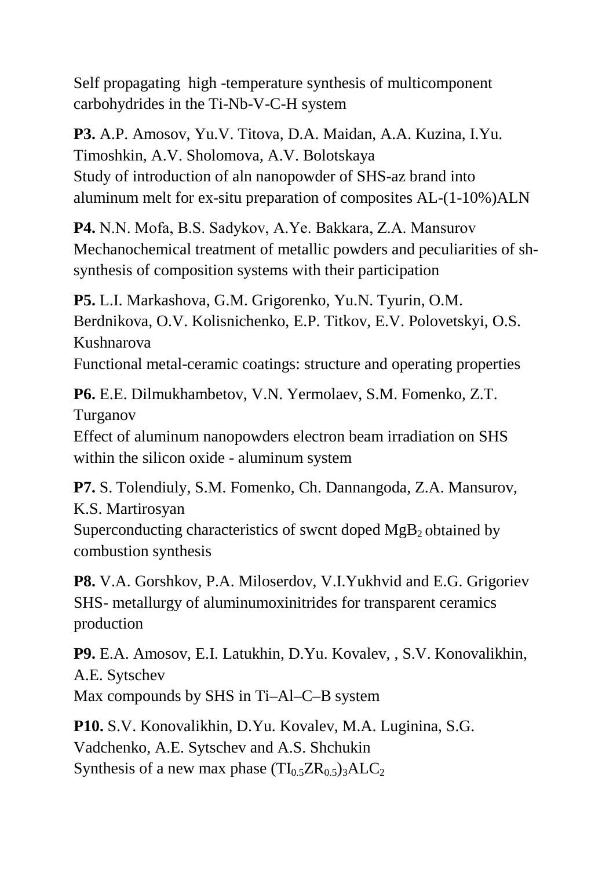Self propagating high -temperature synthesis of multicomponent carbohydrides in the Ti-Nb-V-C-H system

**P3.** A.P. Amosov, Yu.V. Titova, D.A. Maidan, A.A. Kuzina, I.Yu. Timoshkin, A.V. Sholomova, A.V. Bolotskaya Study of introduction of aln nanopowder of SHS-az brand into aluminum melt for ex-situ preparation of composites AL-(1-10%)ALN

**P4.** N.N. Моfa, B.S. Sadykov, A.Ye. Bakkara, Z.A. Mansurov Mechanochemical treatment of metallic powders and peculiarities of shsynthesis of composition systems with their participation

**P5.** L.I. Markashova, G.M. Grigorenko, Yu.N. Tyurin, O.M. Berdnikova, O.V. Kolisnichenko, E.P. Titkov, E.V. Polovetskyi, O.S. Kushnarova Functional metal-ceramic coatings: structure and operating properties

**P6.** E.E. Dilmukhambetov, V.N. Yermolaev, S.M. Fomenko, Z.T. Turganov

Effect of aluminum nanopowders electron beam irradiation on SHS within the silicon oxide - aluminum system

**P7.** S. Tolendiuly, S.M. Fomenko, Ch. Dannangoda, Z.A. Mansurov, K.S. Martirosyan Superconducting characteristics of swcnt doped  $MgB<sub>2</sub>$  obtained by combustion synthesis

**P8.** V.A. Gorshkov, P.A. Miloserdov, V.I.Yukhvid and E.G. Grigoriev SHS- metallurgy of aluminumoxinitrides for transparent ceramics production

**P9.** E.A. Amosov, E.I. Latukhin, D.Yu. Kovalev, , S.V. Konovalikhin, A.E. Sytschev Max compounds by SHS in Ti–Al–C–B system

**P10.** S.V. Konovalikhin, D.Yu. Kovalev, M.A. Luginina, S.G. Vadchenko, A.E. Sytschev and A.S. Shchukin Synthesis of a new max phase  $(TI_0, ZR_0, 5)$ <sub>3</sub>ALC<sub>2</sub>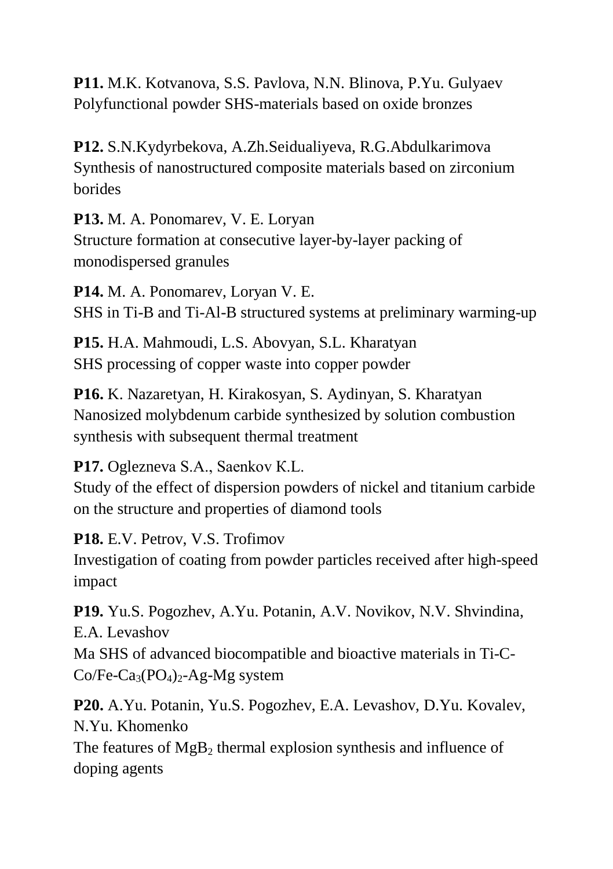**P11.** M.K. Kotvanova, S.S. Pavlova, N.N. Blinova, P.Yu. Gulyaev Polyfunctional powder SHS-materials based on oxide bronzes

**P12.** S.N.Kydyrbekova, A.Zh.Seidualiyeva, R.G.Abdulkarimova Synthesis of nanostructured composite materials based on zirconium borides

**P13.** M. A. Ponomarev, V. E. Loryan Structure formation at consecutive layer-by-layer packing of monodispersed granules

**P14.** M. A. Ponomarev, Loryan V. E. SHS in Ti-B and Ti-Al-B structured systems at preliminary warming-up

**P15.** H.A. Mahmoudi, L.S. Abovyan, S.L. Kharatyan SHS processing of copper waste into copper powder

**P16.** K. Nazaretyan, H. Kirakosyan, S. Aydinyan, S. Kharatyan Nanosized molybdenum carbide synthesized by solution combustion synthesis with subsequent thermal treatment

**P17.** Oglezneva S.А., Saenkov К.L.

Study of the effect of dispersion powders of nickel and titanium carbide on the structure and properties of diamond tools

**P18.** E.V. Petrov, V.S. Trofimov

Investigation of coating from powder particles received after high-speed impact

**P19.** Yu.S. Pogozhev, A.Yu. Potanin, A.V. Novikov, N.V. Shvindina, E.A. Levashov Ma SHS of advanced biocompatible and bioactive materials in Ti-C-

 $Co/Fe-Ca_3(PO_4)_2-Ag-Mg$  system

**P20.** A.Yu. Potanin, Yu.S. Pogozhev, E.A. Levashov, D.Yu. Kovalev, N.Yu. Khomenko

The features of  $MgB_2$ , thermal explosion synthesis and influence of doping agents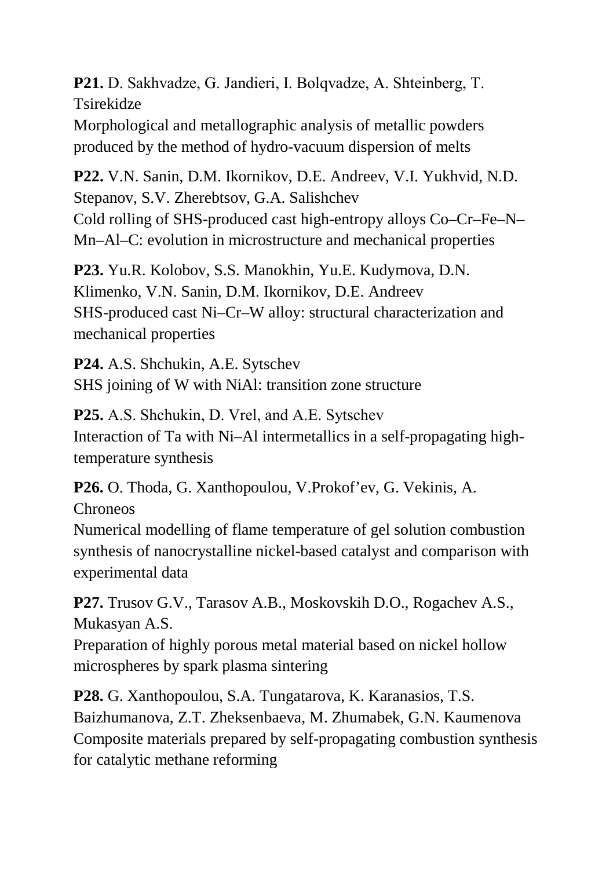**P21.** D. Sakhvadze, G. Jandieri, I. Bolqvadze, А. Shteinberg, Т. Tsirekidze

Morphological and metallographic analysis of metallic powders produced by the method of hydro-vacuum dispersion of melts

**P22.** V.N. Sanin, D.M. Ikornikov, D.E. Andreev, V.I. Yukhvid, N.D. Stepanov, S.V. Zherebtsov, G.A. Salishchev Cold rolling of SHS-produced cast high-entropy alloys Co–Cr–Fe–N– Mn–Al–C: evolution in microstructure and mechanical properties

**P23.** Yu.R. Kolobov, S.S. Manokhin, Yu.E. Kudymova, D.N. Klimenko, V.N. Sanin, D.M. Ikornikov, D.E. Andreev SHS-produced cast Ni–Cr–W alloy: structural characterization and mechanical properties

**P24.** A.S. Shchukin, A.E. Sytschev SHS joining of W with NiAl: transition zone structure

**P25.** А.S. Shchukin, D. Vrel, and А.Е. Sytschev Interaction of Ta with Ni–Al intermetallics in a self-propagating hightemperature synthesis

**P26.** O. Thoda, G. Xanthopoulou, V.Prokof'ev, G. Vekinis, A.

Chroneos

Numerical modelling of flame temperature of gel solution combustion synthesis of nanocrystalline nickel-based catalyst and comparison with experimental data

**P27.** Trusov G.V., Tarasov A.B., Moskovskih D.O., Rogachev A.S., Mukasyan A.S.

Preparation of highly porous metal material based on nickel hollow microspheres by spark plasma sintering

**P28.** G. Xanthopoulou, S.A. Tungatarova, K. Karanasios, T.S. Baizhumanova, Z.T. Zheksenbaeva, M. Zhumabek, G.N. Kaumenova Composite materials prepared by self-propagating combustion synthesis for catalytic methane reforming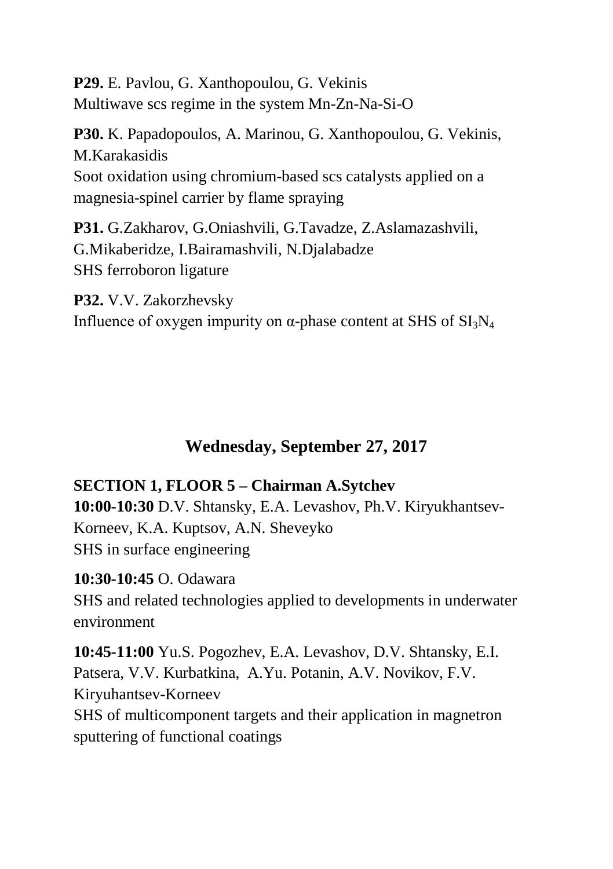**P29.** E. Pavlou, G. Xanthopoulou, G. Vekinis Multiwave scs regime in the system Mn-Zn-Na-Si-O

**P30.** K. Papadopoulos, A. Marinou, G. Xanthopoulou, G. Vekinis, M.Karakasidis Soot oxidation using chromium-based scs catalysts applied on a magnesia-spinel carrier by flame spraying

**P31.** G.Zakharov, G.Oniashvili, G.Tavadze, Z.Aslamazashvili, G.Mikaberidze, I.Bairamashvili, N.Djalabadze SHS ferroboron ligature

**P32.** V.V. Zakorzhevsky Influence of oxygen impurity on  $\alpha$ -phase content at SHS of SI<sub>3</sub>N<sub>4</sub>

## **Wednesday, September 27, 2017**

#### **SECTION 1, FLOOR 5 – Chairman A.Sytchev**

**10:00-10:30** D.V. Shtansky, E.A. Levashov, Ph.V. Kiryukhantsev-Korneev, K.A. Kuptsov, A.N. Sheveyko SHS in surface engineering

**10:30-10:45** O. Odawara SHS and related technologies applied to developments in underwater environment

**10:45-11:00** Yu.S. Pogozhev, E.A. Levashov, D.V. Shtansky, E.I. Patsera, V.V. Kurbatkina, A.Yu. Potanin, A.V. Novikov, F.V. Kiryuhantsev-Korneev SHS of multicomponent targets and their application in magnetron sputtering of functional coatings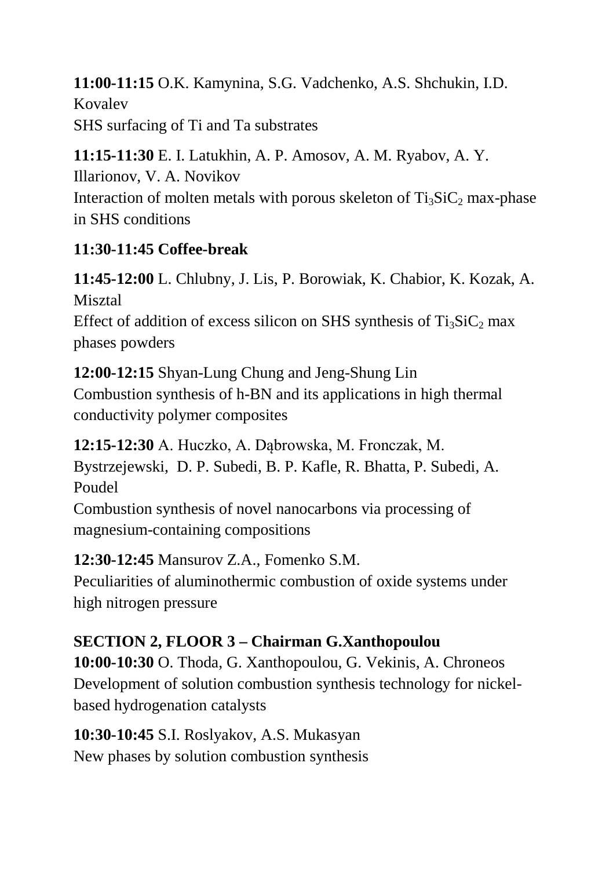**11:00-11:15** O.K. Kamynina, S.G. Vadchenko, A.S. Shchukin, I.D. Kovalev SHS surfacing of Ti and Ta substrates

**11:15-11:30** E. I. Latukhin, A. P. Amosov, A. M. Ryabov, A. Y. Illarionov, V. A. Novikov Interaction of molten metals with porous skeleton of  $Ti<sub>3</sub>SiC<sub>2</sub>$  max-phase in SHS conditions

## **11:30-11:45 Coffee-break**

**11:45-12:00** L. Chlubny, J. Lis, P. Borowiak, K. Chabior, K. Kozak, A. Misztal Effect of addition of excess silicon on SHS synthesis of  $Ti<sub>3</sub>SiC<sub>2</sub>$  max phases powders

**12:00-12:15** Shyan-Lung Chung and Jeng-Shung Lin Combustion synthesis of h-BN and its applications in high thermal conductivity polymer composites

**12:15-12:30** A. Huczko, A. Dąbrowska, M. Fronczak, M. Bystrzejewski, D. P. Subedi, B. P. Kafle, R. Bhatta, P. Subedi, A. Poudel

Combustion synthesis of novel nanocarbons via processing of magnesium-containing compositions

**12:30-12:45** Mansurov Z.A., Fomenko S.M.

Peculiarities of aluminothermic combustion of oxide systems under high nitrogen pressure

## **SECTION 2, FLOOR 3 – Chairman G.Xanthopoulou**

**10:00-10:30** O. Thoda, G. Xanthopoulou, G. Vekinis, A. Chroneos Development of solution combustion synthesis technology for nickelbased hydrogenation catalysts

**10:30-10:45** S.I. Roslyakov, A.S. Mukasyan New phases by solution combustion synthesis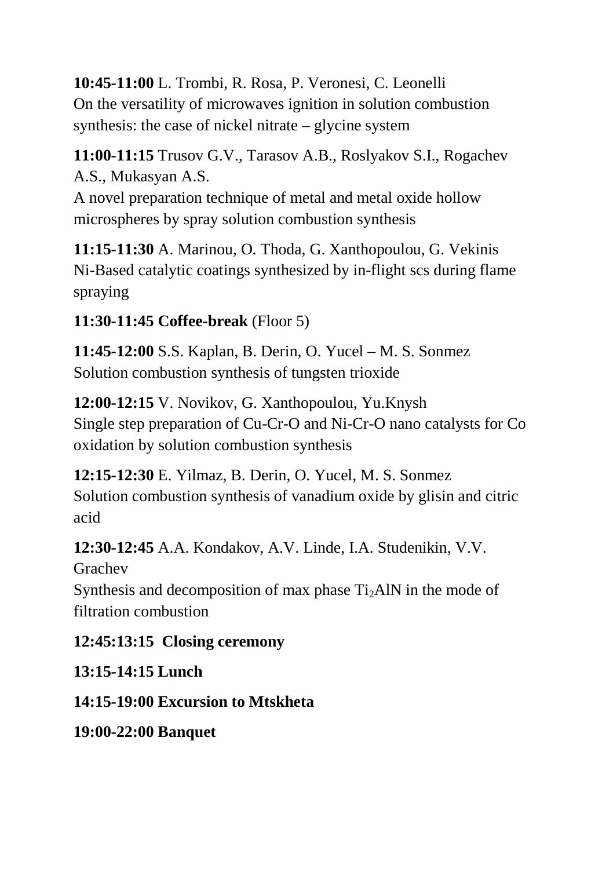**10:45-11:00** L. Trombi, R. Rosa, P. Veronesi, C. Leonelli On the versatility of microwaves ignition in solution combustion synthesis: the case of nickel nitrate – glycine system

**11:00-11:15** Trusov G.V., Tarasov A.B., Roslyakov S.I., Rogachev A.S., Mukasyan A.S.

A novel preparation technique of metal and metal oxide hollow microspheres by spray solution combustion synthesis

**11:15-11:30** A. Marinou, O. Thoda, G. Xanthopoulou, G. Vekinis Ni-Based catalytic coatings synthesized by in-flight scs during flame spraying

**11:30-11:45 Coffee-break** (Floor 5)

**11:45-12:00** S.S. Kaplan, B. Derin, O. Yucel – M. S. Sonmez Solution combustion synthesis of tungsten trioxide

**12:00-12:15** V. Novikov, G. Xanthopoulou, Yu.Knysh Single step preparation of Cu-Cr-O and Ni-Cr-O nano catalysts for Co oxidation by solution combustion synthesis

**12:15-12:30** E. Yilmaz, B. Derin, O. Yucel, M. S. Sonmez Solution combustion synthesis of vanadium oxide by glisin and citric acid

**12:30-12:45** A.A. Kondakov, A.V. Linde, I.A. Studenikin, V.V. Grachev

Synthesis and decomposition of max phase  $Ti<sub>2</sub>AIN$  in the mode of filtration combustion

**12:45:13:15 Closing ceremony**

**13:15-14:15 Lunch**

**14:15-19:00 Excursion to Mtskheta**

**19:00-22:00 Banquet**